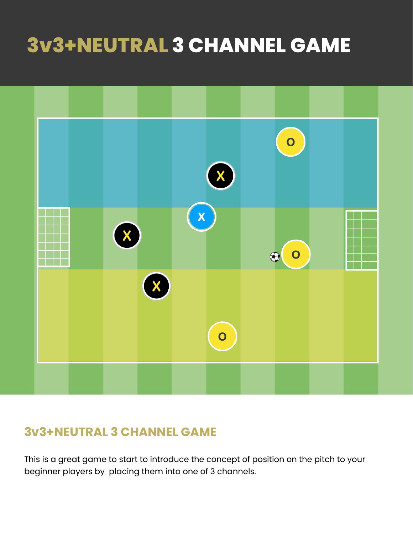# **3v3+NEUTRAL 3 CHANNEL GAME**



### **3v3+NEUTRAL 3 CHANNEL GAME**

This is a great game to start to introduce the concept of position on the pitch to your beginner players by placing them into one of 3 channels.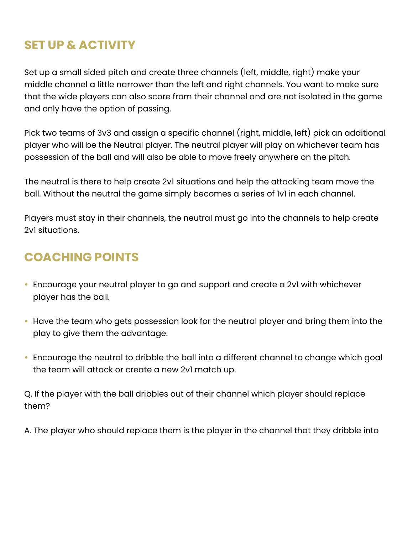## **SET UP & ACTIVITY**

Set up a small sided pitch and create three channels (left, middle, right) make your middle channel a little narrower than the left and right channels. You want to make sure that the wide players can also score from their channel and are not isolated in the game and only have the option of passing.

Pick two teams of 3v3 and assign a specific channel (right, middle, left) pick an additional player who will be the Neutral player. The neutral player will play on whichever team has possession of the ball and will also be able to move freely anywhere on the pitch.

The neutral is there to help create 2v1 situations and help the attacking team move the ball. Without the neutral the game simply becomes a series of 1v1 in each channel.

Players must stay in their channels, the neutral must go into the channels to help create 2v1 situations.

### **COACHING POINTS**

- Encourage your neutral player to go and support and create a 2v1 with whichever player has the ball.
- Have the team who gets possession look for the neutral player and bring them into the play to give them the advantage.
- Encourage the neutral to dribble the ball into a different channel to change which goal the team will attack or create a new 2v1 match up.

Q. If the player with the ball dribbles out of their channel which player should replace them?

A. The player who should replace them is the player in the channel that they dribble into